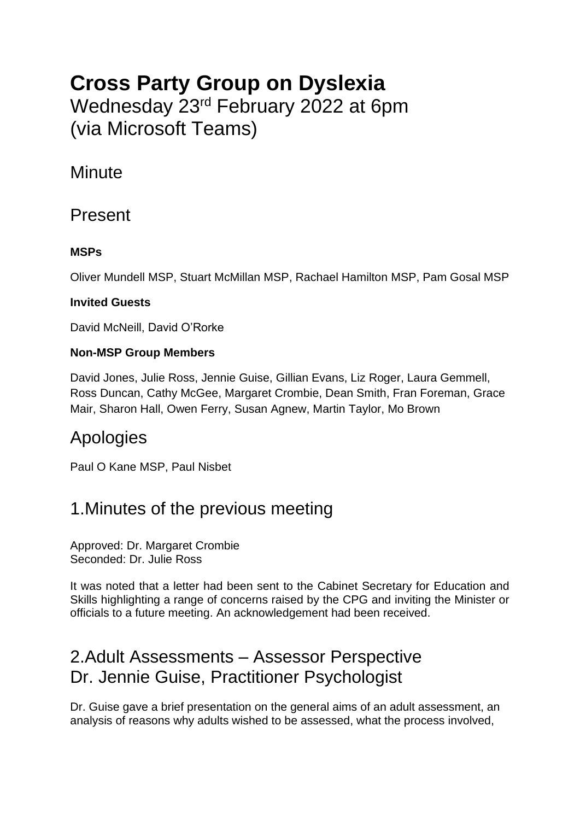# **Cross Party Group on Dyslexia** Wednesday 23rd February 2022 at 6pm (via Microsoft Teams)

### **Minute**

#### Present

#### **MSPs**

Oliver Mundell MSP, Stuart McMillan MSP, Rachael Hamilton MSP, Pam Gosal MSP

#### **Invited Guests**

David McNeill, David O'Rorke

#### **Non-MSP Group Members**

David Jones, Julie Ross, Jennie Guise, Gillian Evans, Liz Roger, Laura Gemmell, Ross Duncan, Cathy McGee, Margaret Crombie, Dean Smith, Fran Foreman, Grace Mair, Sharon Hall, Owen Ferry, Susan Agnew, Martin Taylor, Mo Brown

## Apologies

Paul O Kane MSP, Paul Nisbet

## 1.Minutes of the previous meeting

Approved: Dr. Margaret Crombie Seconded: Dr. Julie Ross

It was noted that a letter had been sent to the Cabinet Secretary for Education and Skills highlighting a range of concerns raised by the CPG and inviting the Minister or officials to a future meeting. An acknowledgement had been received.

### 2.Adult Assessments – Assessor Perspective Dr. Jennie Guise, Practitioner Psychologist

Dr. Guise gave a brief presentation on the general aims of an adult assessment, an analysis of reasons why adults wished to be assessed, what the process involved,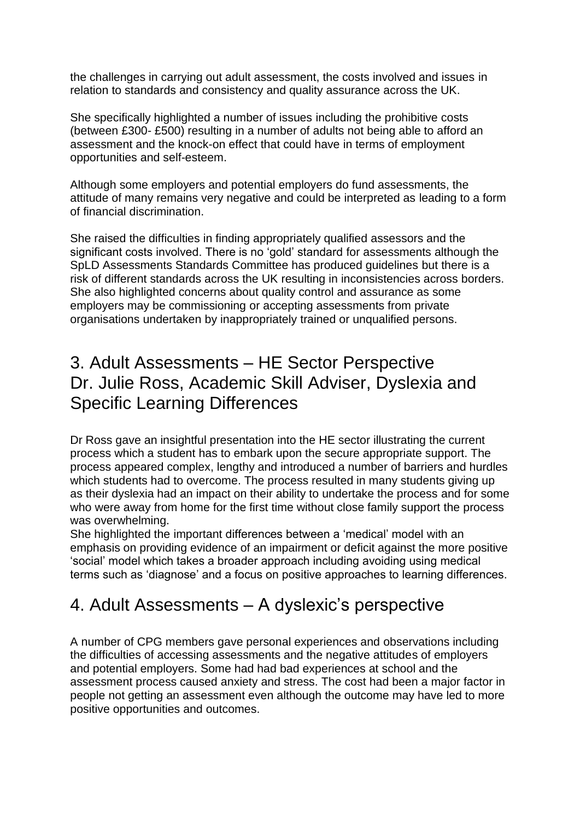the challenges in carrying out adult assessment, the costs involved and issues in relation to standards and consistency and quality assurance across the UK.

She specifically highlighted a number of issues including the prohibitive costs (between £300- £500) resulting in a number of adults not being able to afford an assessment and the knock-on effect that could have in terms of employment opportunities and self-esteem.

Although some employers and potential employers do fund assessments, the attitude of many remains very negative and could be interpreted as leading to a form of financial discrimination.

She raised the difficulties in finding appropriately qualified assessors and the significant costs involved. There is no 'gold' standard for assessments although the SpLD Assessments Standards Committee has produced guidelines but there is a risk of different standards across the UK resulting in inconsistencies across borders. She also highlighted concerns about quality control and assurance as some employers may be commissioning or accepting assessments from private organisations undertaken by inappropriately trained or unqualified persons.

### 3. Adult Assessments – HE Sector Perspective Dr. Julie Ross, Academic Skill Adviser, Dyslexia and Specific Learning Differences

Dr Ross gave an insightful presentation into the HE sector illustrating the current process which a student has to embark upon the secure appropriate support. The process appeared complex, lengthy and introduced a number of barriers and hurdles which students had to overcome. The process resulted in many students giving up as their dyslexia had an impact on their ability to undertake the process and for some who were away from home for the first time without close family support the process was overwhelming.

She highlighted the important differences between a 'medical' model with an emphasis on providing evidence of an impairment or deficit against the more positive 'social' model which takes a broader approach including avoiding using medical terms such as 'diagnose' and a focus on positive approaches to learning differences.

## 4. Adult Assessments – A dyslexic's perspective

A number of CPG members gave personal experiences and observations including the difficulties of accessing assessments and the negative attitudes of employers and potential employers. Some had had bad experiences at school and the assessment process caused anxiety and stress. The cost had been a major factor in people not getting an assessment even although the outcome may have led to more positive opportunities and outcomes.